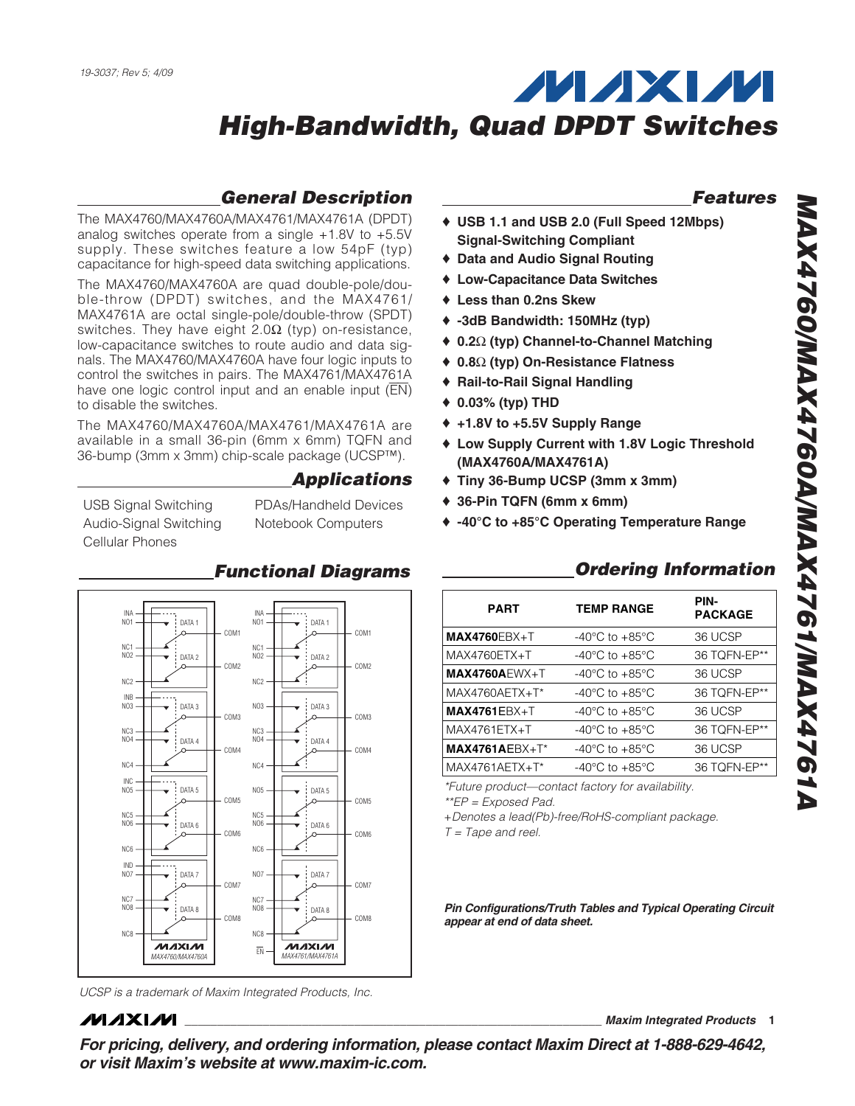## **General Description**

The MAX4760/MAX4760A/MAX4761/MAX4761A (DPDT) analog switches operate from a single  $+1.8V$  to  $+5.5V$ supply. These switches feature a low 54pF (typ) capacitance for high-speed data switching applications.

The MAX4760/MAX4760A are quad double-pole/double-throw (DPDT) switches, and the MAX4761/ MAX4761A are octal single-pole/double-throw (SPDT) switches. They have eight  $2.0\Omega$  (typ) on-resistance, low-capacitance switches to route audio and data signals. The MAX4760/MAX4760A have four logic inputs to control the switches in pairs. The MAX4761/MAX4761A have one logic control input and an enable input ( $\overline{EN}$ ) to disable the switches.

The MAX4760/MAX4760A/MAX4761/MAX4761A are available in a small 36-pin (6mm x 6mm) TQFN and 36-bump (3mm x 3mm) chip-scale package (UCSP™).

### **Applications**

USB Signal Switching Audio-Signal Switching Cellular Phones

PDAs/Handheld Devices Notebook Computers

**Functional Diagrams**



UCSP is a trademark of Maxim Integrated Products, Inc.

### **MAXM**

**\_\_\_\_\_\_\_\_\_\_\_\_\_\_\_\_\_\_\_\_\_\_\_\_\_\_\_\_\_\_\_\_\_\_\_\_\_\_\_\_\_\_\_\_\_\_\_\_\_\_\_\_\_\_\_\_\_\_\_\_\_\_\_\_ Maxim Integrated Products 1**

**For pricing, delivery, and ordering information, please contact Maxim Direct at 1-888-629-4642, or visit Maxim's website at www.maxim-ic.com.**

### **Features**

- ♦ **USB 1.1 and USB 2.0 (Full Speed 12Mbps) Signal-Switching Compliant**
- ♦ **Data and Audio Signal Routing**
- ♦ **Low-Capacitance Data Switches**
- ♦ **Less than 0.2ns Skew**
- ♦ **-3dB Bandwidth: 150MHz (typ)**
- ♦ **0.2**Ω **(typ) Channel-to-Channel Matching**
- ♦ **0.8**Ω **(typ) On-Resistance Flatness**
- ♦ **Rail-to-Rail Signal Handling**
- ♦ **0.03% (typ) THD**
- ♦ **+1.8V to +5.5V Supply Range**
- ♦ **Low Supply Current with 1.8V Logic Threshold (MAX4760A/MAX4761A)**
- ♦ **Tiny 36-Bump UCSP (3mm x 3mm)**
- ♦ **36-Pin TQFN (6mm x 6mm)**
- ♦ **-40°C to +85°C Operating Temperature Range**

### **Ordering Information**

| <b>PART</b>      | <b>TEMP RANGE</b>                    | PIN-<br><b>PACKAGE</b> |
|------------------|--------------------------------------|------------------------|
| $MAX4760EBX + T$ | $-40^{\circ}$ C to $+85^{\circ}$ C   | 36 UCSP                |
| MAX4760ETX+T     | $-40^{\circ}$ C to $+85^{\circ}$ C   | 36 TOFN-EP**           |
| $MAX4760AEWX+T$  | -40 $^{\circ}$ C to +85 $^{\circ}$ C | 36 UCSP                |
| MAX4760AETX+T*   | -40 $^{\circ}$ C to +85 $^{\circ}$ C | 36 TQFN-EP**           |
| $MAX4761EBX+T$   | $-40^{\circ}$ C to $+85^{\circ}$ C   | 36 UCSP                |
| MAX4761ETX+T     | -40°C to +85°C                       | 36 TOFN-EP**           |
| $MAX4761AEBX+T*$ | -40 $^{\circ}$ C to +85 $^{\circ}$ C | 36 UCSP                |
| $MAX4761AETX+T*$ | -40°C to +85°C                       | 36 TOFN-EP**           |
|                  |                                      |                        |

\*Future product—contact factory for availability. \*\*EP = Exposed Pad.

+Denotes a lead(Pb)-free/RoHS-compliant package.

 $T = \text{Tape}$  and reel.

**PATA 8 Pin Configurations/Truth Tables and Typical Operating Circuit appear at end of data sheet.**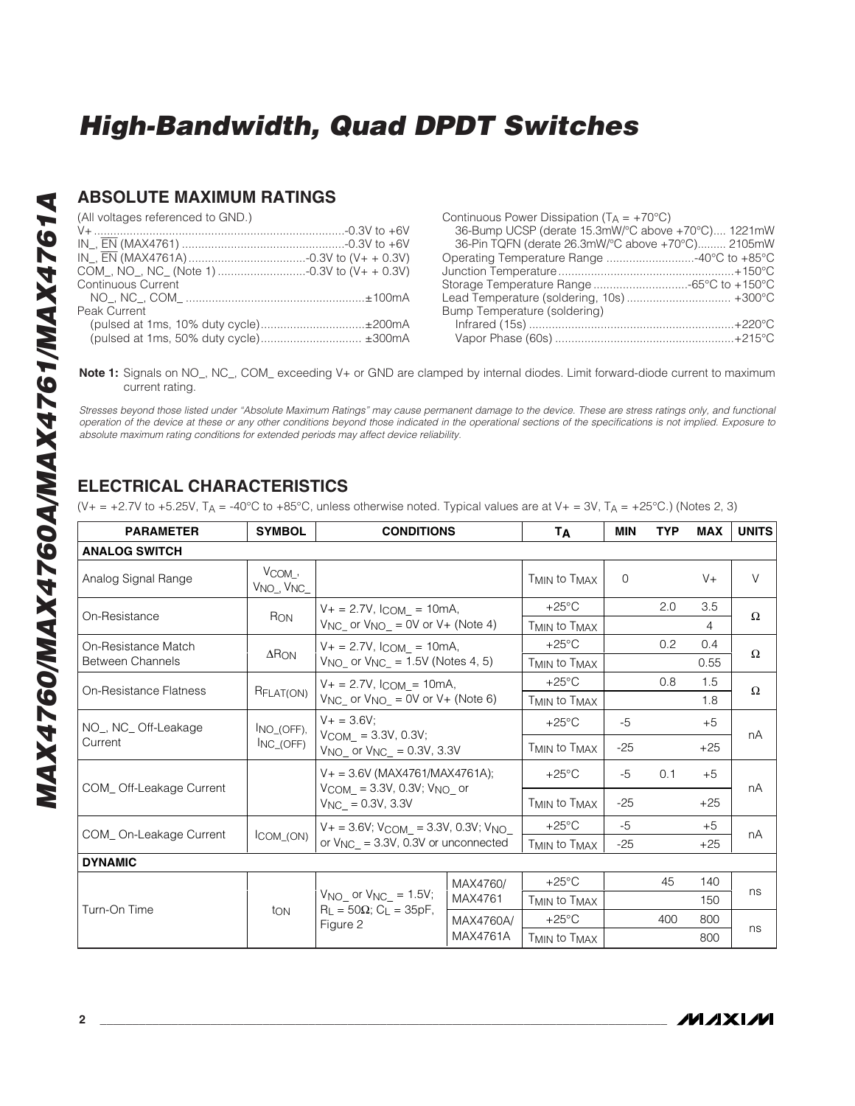### **ABSOLUTE MAXIMUM RATINGS**

(All voltages referenced to GND.)

| COM_, NO_, NC_ (Note 1) 0.3V to (V+ + 0.3V) |  |
|---------------------------------------------|--|
| Continuous Current                          |  |
|                                             |  |
| Peak Current                                |  |
| (pulsed at 1ms, 10% duty cycle)±200mA       |  |
| (pulsed at 1ms, 50% duty cycle) ±300mA      |  |
|                                             |  |

| Continuous Power Dissipation (TA = +70°C)          |
|----------------------------------------------------|
| 36-Bump UCSP (derate 15.3mW/°C above +70°C) 1221mW |
| 36-Pin TQFN (derate 26.3mW/°C above +70°C) 2105mW  |
| Operating Temperature Range 40°C to +85°C          |
|                                                    |
| Storage Temperature Range -65°C to +150°C          |
| Lead Temperature (soldering, 10s)  +300°C          |
| Bump Temperature (soldering)                       |
|                                                    |
|                                                    |

**Note 1:** Signals on NO\_, NC\_, COM\_ exceeding V+ or GND are clamped by internal diodes. Limit forward-diode current to maximum current rating.

Stresses beyond those listed under "Absolute Maximum Ratings" may cause permanent damage to the device. These are stress ratings only, and functional operation of the device at these or any other conditions beyond those indicated in the operational sections of the specifications is not implied. Exposure to absolute maximum rating conditions for extended periods may affect device reliability.

## **ELECTRICAL CHARACTERISTICS**

(V+ = +2.7V to +5.25V, T<sub>A</sub> = -40°C to +85°C, unless otherwise noted. Typical values are at V+ = 3V, T<sub>A</sub> = +25°C.) (Notes 2, 3)

| <b>PARAMETER</b>              | <b>SYMBOL</b>                                  | <b>CONDITIONS</b>                                              |                                                                                                                                                                                                                                                                                                                                                                                                                                                                                                                                                                                                                                                                                                                                            | TA                                   | MIN                                                                                                                                                                                                                           | <b>TYP</b> | <b>MAX</b> | <b>UNITS</b> |
|-------------------------------|------------------------------------------------|----------------------------------------------------------------|--------------------------------------------------------------------------------------------------------------------------------------------------------------------------------------------------------------------------------------------------------------------------------------------------------------------------------------------------------------------------------------------------------------------------------------------------------------------------------------------------------------------------------------------------------------------------------------------------------------------------------------------------------------------------------------------------------------------------------------------|--------------------------------------|-------------------------------------------------------------------------------------------------------------------------------------------------------------------------------------------------------------------------------|------------|------------|--------------|
| <b>ANALOG SWITCH</b>          |                                                |                                                                |                                                                                                                                                                                                                                                                                                                                                                                                                                                                                                                                                                                                                                                                                                                                            |                                      |                                                                                                                                                                                                                               |            |            |              |
| Analog Signal Range           | $V_{COM}$ ,<br>V <sub>NO</sub> V <sub>NC</sub> |                                                                |                                                                                                                                                                                                                                                                                                                                                                                                                                                                                                                                                                                                                                                                                                                                            | T <sub>MIN</sub> to T <sub>MAX</sub> | $\Omega$                                                                                                                                                                                                                      |            | $V +$      | $\vee$       |
| On-Resistance                 | RON                                            | $V + = 2.7V$ , $l_{COM} = 10mA$ ,                              |                                                                                                                                                                                                                                                                                                                                                                                                                                                                                                                                                                                                                                                                                                                                            | $+25^{\circ}$ C                      | 3.5<br>2.0<br>$\overline{4}$<br>0.2<br>0.4<br>0.55<br>0.8<br>1.5<br>1.8<br>$-5$<br>$+5$<br>$-25$<br>$+25$<br>$-5$<br>0.1<br>$+5$<br>$-25$<br>$+25$<br>$-5$<br>$+5$<br>$-25$<br>$+25$<br>45<br>140<br>150<br>400<br>800<br>800 |            |            |              |
|                               |                                                |                                                                |                                                                                                                                                                                                                                                                                                                                                                                                                                                                                                                                                                                                                                                                                                                                            | T <sub>MIN</sub> to T <sub>MAX</sub> |                                                                                                                                                                                                                               |            |            |              |
| On-Resistance Match           | $\Delta$ RON                                   | $V_+ = 2.7V$ , $I_{COM} = 10mA$ ,                              |                                                                                                                                                                                                                                                                                                                                                                                                                                                                                                                                                                                                                                                                                                                                            | $+25^{\circ}$ C                      |                                                                                                                                                                                                                               |            |            |              |
| <b>Between Channels</b>       |                                                |                                                                |                                                                                                                                                                                                                                                                                                                                                                                                                                                                                                                                                                                                                                                                                                                                            | T <sub>MIN</sub> to T <sub>MAX</sub> |                                                                                                                                                                                                                               |            |            |              |
|                               |                                                | $V_+ = 2.7V$ , $I_{COM} = 10mA$ ,                              |                                                                                                                                                                                                                                                                                                                                                                                                                                                                                                                                                                                                                                                                                                                                            | $+25^{\circ}$ C                      |                                                                                                                                                                                                                               |            |            |              |
| <b>On-Resistance Flatness</b> | RFLAT(ON)                                      |                                                                | $\Omega$<br>$V_{\text{NC}}$ or $V_{\text{NO}}$ = 0V or V+ (Note 4)<br>$\Omega$<br>$V_{NO}$ or $V_{NC}$ = 1.5V (Notes 4, 5)<br>Ω<br>$V_{\text{NC}}$ or $V_{\text{NO}}$ = 0V or V+ (Note 6)<br>T <sub>MIN</sub> to T <sub>MAX</sub><br>$+25^{\circ}$ C<br>$V_{COM}$ = 3.3V, 0.3V;<br>nA<br>T <sub>MIN</sub> to T <sub>MAX</sub><br>$V_+ = 3.6V$ (MAX4761/MAX4761A);<br>$+25^{\circ}$ C<br>$V_{COM} = 3.3V, 0.3V; V_{NO}$ or<br>nA<br>T <sub>MIN</sub> to T <sub>MAX</sub><br>$+25^{\circ}$ C<br>$V_+ = 3.6V$ ; $V_{COM_-} = 3.3V$ , 0.3V; $V_{NO_-}$<br>nA<br>T <sub>MIN</sub> to T <sub>MAX</sub><br>$+25^{\circ}$ C<br>MAX4760/<br>ns<br>MAX4761<br>T <sub>MIN</sub> to T <sub>MAX</sub><br>$+25^{\circ}$ C<br>MAX4760A/<br>ns<br>MAX4761A |                                      |                                                                                                                                                                                                                               |            |            |              |
| NO_, NC_ Off-Leakage          | $NO(OFF)$ ,                                    | $V + = 3.6V$ :                                                 |                                                                                                                                                                                                                                                                                                                                                                                                                                                                                                                                                                                                                                                                                                                                            |                                      |                                                                                                                                                                                                                               |            |            |              |
| Current                       | $INC_$ (OFF)                                   | $V_{NO}$ or $V_{NC}$ = 0.3V, 3.3V                              |                                                                                                                                                                                                                                                                                                                                                                                                                                                                                                                                                                                                                                                                                                                                            |                                      |                                                                                                                                                                                                                               |            |            |              |
|                               |                                                |                                                                |                                                                                                                                                                                                                                                                                                                                                                                                                                                                                                                                                                                                                                                                                                                                            |                                      |                                                                                                                                                                                                                               |            |            |              |
| COM_Off-Leakage Current       |                                                | $V_{\text{NC}} = 0.3V, 3.3V$                                   |                                                                                                                                                                                                                                                                                                                                                                                                                                                                                                                                                                                                                                                                                                                                            |                                      |                                                                                                                                                                                                                               |            |            |              |
|                               |                                                |                                                                |                                                                                                                                                                                                                                                                                                                                                                                                                                                                                                                                                                                                                                                                                                                                            |                                      |                                                                                                                                                                                                                               |            |            |              |
| COM_On-Leakage Current        | $ICOM_$ (ON)                                   | or $V_{\text{NC}}$ = 3.3V, 0.3V or unconnected                 |                                                                                                                                                                                                                                                                                                                                                                                                                                                                                                                                                                                                                                                                                                                                            |                                      |                                                                                                                                                                                                                               |            |            |              |
| <b>DYNAMIC</b>                |                                                |                                                                |                                                                                                                                                                                                                                                                                                                                                                                                                                                                                                                                                                                                                                                                                                                                            |                                      |                                                                                                                                                                                                                               |            |            |              |
|                               |                                                |                                                                |                                                                                                                                                                                                                                                                                                                                                                                                                                                                                                                                                                                                                                                                                                                                            |                                      |                                                                                                                                                                                                                               |            |            |              |
|                               |                                                | $V_{NO}$ or $V_{NC}$ = 1.5V;                                   |                                                                                                                                                                                                                                                                                                                                                                                                                                                                                                                                                                                                                                                                                                                                            |                                      |                                                                                                                                                                                                                               |            |            |              |
| Turn-On Time                  | ton                                            | $R_{\perp}$ = 50 $\Omega$ ; C <sub>L</sub> = 35pF,<br>Figure 2 |                                                                                                                                                                                                                                                                                                                                                                                                                                                                                                                                                                                                                                                                                                                                            |                                      |                                                                                                                                                                                                                               |            |            |              |
|                               |                                                |                                                                |                                                                                                                                                                                                                                                                                                                                                                                                                                                                                                                                                                                                                                                                                                                                            | T <sub>MIN</sub> to T <sub>MAX</sub> |                                                                                                                                                                                                                               |            |            |              |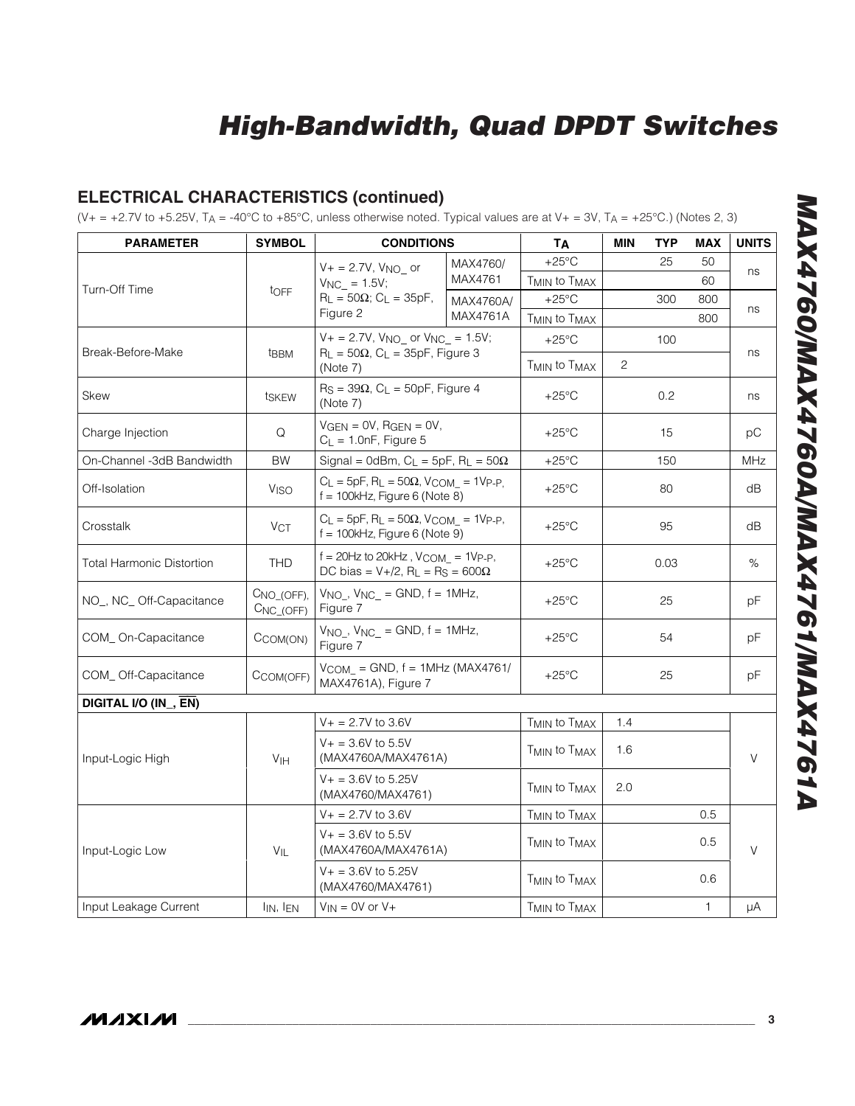## **ELECTRICAL CHARACTERISTICS (continued)**

(V+ = +2.7V to +5.25V,  $T_A$  = -40°C to +85°C, unless otherwise noted. Typical values are at V+ = 3V,  $T_A$  = +25°C.) (Notes 2, 3)

| <b>PARAMETER</b>                 | <b>SYMBOL</b>               | <b>CONDITIONS</b>                                                                                                       |           | <b>ТА</b>                            | <b>MIN</b>     | <b>TYP</b> | <b>MAX</b>   | <b>UNITS</b> |
|----------------------------------|-----------------------------|-------------------------------------------------------------------------------------------------------------------------|-----------|--------------------------------------|----------------|------------|--------------|--------------|
|                                  |                             | $V + = 2.7V$ , $V_{NO}$ or                                                                                              | MAX4760/  | $+25^{\circ}$ C                      |                | 25         | 50           |              |
|                                  |                             | $V_{NC}$ = 1.5V;                                                                                                        | MAX4761   | T <sub>MIN</sub> to T <sub>MAX</sub> |                |            | 60           | ns           |
| Turn-Off Time                    | tOFF                        | $R_L = 50\Omega$ ; C <sub>L</sub> = 35pF,                                                                               | MAX4760A/ | $+25^{\circ}$ C                      |                | 300        | 800          |              |
|                                  |                             | Figure 2                                                                                                                | MAX4761A  | T <sub>MIN</sub> to T <sub>MAX</sub> |                |            | 800          | ns           |
|                                  |                             | $V + = 2.7V$ , $V_{NO}$ or $V_{NC} = 1.5V$ ;                                                                            |           | $+25^{\circ}$ C                      |                | 100        |              |              |
| Break-Before-Make                | t <sub>BBM</sub>            | $R_L = 50\Omega$ , $C_L = 35pF$ , Figure 3<br>(Note 7)                                                                  |           | T <sub>MIN</sub> to T <sub>MAX</sub> | $\overline{c}$ |            |              | ns           |
| <b>Skew</b>                      | tskEW                       | $R_S = 39\Omega$ , $C_L = 50pF$ , Figure 4<br>(Note 7)                                                                  |           | $+25^{\circ}$ C                      |                | 0.2        |              | ns           |
| Charge Injection                 | Q                           | $VGEN = OV, RGEN = OV,$<br>$C_L = 1.0nF$ , Figure 5                                                                     |           | $+25^{\circ}$ C                      |                | 15         |              | рC           |
| On-Channel -3dB Bandwidth        | <b>BW</b>                   | Signal = 0dBm, $C_L$ = 5pF, $R_L$ = 50 $\Omega$                                                                         |           | $+25^{\circ}$ C                      |                | 150        |              | MHz          |
| Off-Isolation                    | <b>V<sub>ISO</sub></b>      | $C_L = 5pF$ , $R_L = 50\Omega$ , $V_{COM_-} = 1V_{P-P}$ ,<br>$f = 100$ kHz, Figure 6 (Note 8)                           |           | $+25^{\circ}$ C                      |                | 80         |              | dB           |
| Crosstalk                        | VCT                         | $C_L = 5pF$ , R <sub>L</sub> = 50 $\Omega$ , V <sub>COM</sub> = 1V <sub>P-P</sub> ,<br>$f = 100$ kHz, Figure 6 (Note 9) |           | $+25^{\circ}$ C                      |                | 95         |              | dB           |
| <b>Total Harmonic Distortion</b> | <b>THD</b>                  | $f = 20$ Hz to 20kHz, $V_{COM} = 1V_{P-P}$ ,<br>DC bias = $V+/2$ , R <sub>L</sub> = R <sub>S</sub> = 600 $\Omega$       |           | $+25^{\circ}$ C                      |                | 0.03       |              | %            |
| NO_, NC_Off-Capacitance          | CNO_(OFF),<br>$CNC_{(OFF)}$ | $V_{NO}$ , $V_{NC}$ = GND, $f = 1MHz$ ,<br>Figure 7                                                                     |           | $+25^{\circ}$ C                      |                | 25         |              | рF           |
| COM_On-Capacitance               | CCOM(ON)                    | $V_{NO_-}$ , $V_{NC_-}$ = GND, $f = 1$ MHz,<br>Figure 7                                                                 |           | $+25^{\circ}$ C                      |                | 54         |              | рF           |
| COM_Off-Capacitance              | CCOM(OFF)                   | $V_{COM} = GND$ , $f = 1MHz (MAX4761/$<br>MAX4761A), Figure 7                                                           |           | $+25^{\circ}$ C                      |                | 25         |              | рF           |
| DIGITAL I/O (IN_, EN)            |                             |                                                                                                                         |           |                                      |                |            |              |              |
|                                  |                             | $V + 2.7V$ to 3.6V                                                                                                      |           | T <sub>MIN</sub> to T <sub>MAX</sub> | 1.4            |            |              |              |
| Input-Logic High                 | V <sub>IH</sub>             | $V_+ = 3.6V$ to 5.5V<br>(MAX4760A/MAX4761A)                                                                             |           | T <sub>MIN</sub> to T <sub>MAX</sub> | 1.6            |            |              | $\vee$       |
|                                  |                             | $V_+ = 3.6V$ to 5.25V<br>(MAX4760/MAX4761)                                                                              |           | T <sub>MIN</sub> to T <sub>MAX</sub> | 2.0            |            |              |              |
|                                  |                             | $V_+ = 2.7V$ to 3.6V                                                                                                    |           | T <sub>MIN</sub> to T <sub>MAX</sub> |                |            | 0.5          |              |
| Input-Logic Low                  | $V_{IL}$                    | $V_+ = 3.6V$ to 5.5V<br>(MAX4760A/MAX4761A)                                                                             |           | T <sub>MIN</sub> to T <sub>MAX</sub> |                |            | 0.5          | V            |
|                                  |                             | $V_+ = 3.6V$ to 5.25V<br>(MAX4760/MAX4761)                                                                              |           | T <sub>MIN</sub> to T <sub>MAX</sub> |                |            | 0.6          |              |
| Input Leakage Current            | $I_{IN}$ , $I_{EN}$         | $V_{IN} = 0V$ or $V +$                                                                                                  |           | T <sub>MIN</sub> to T <sub>MAX</sub> |                |            | $\mathbf{1}$ | μA           |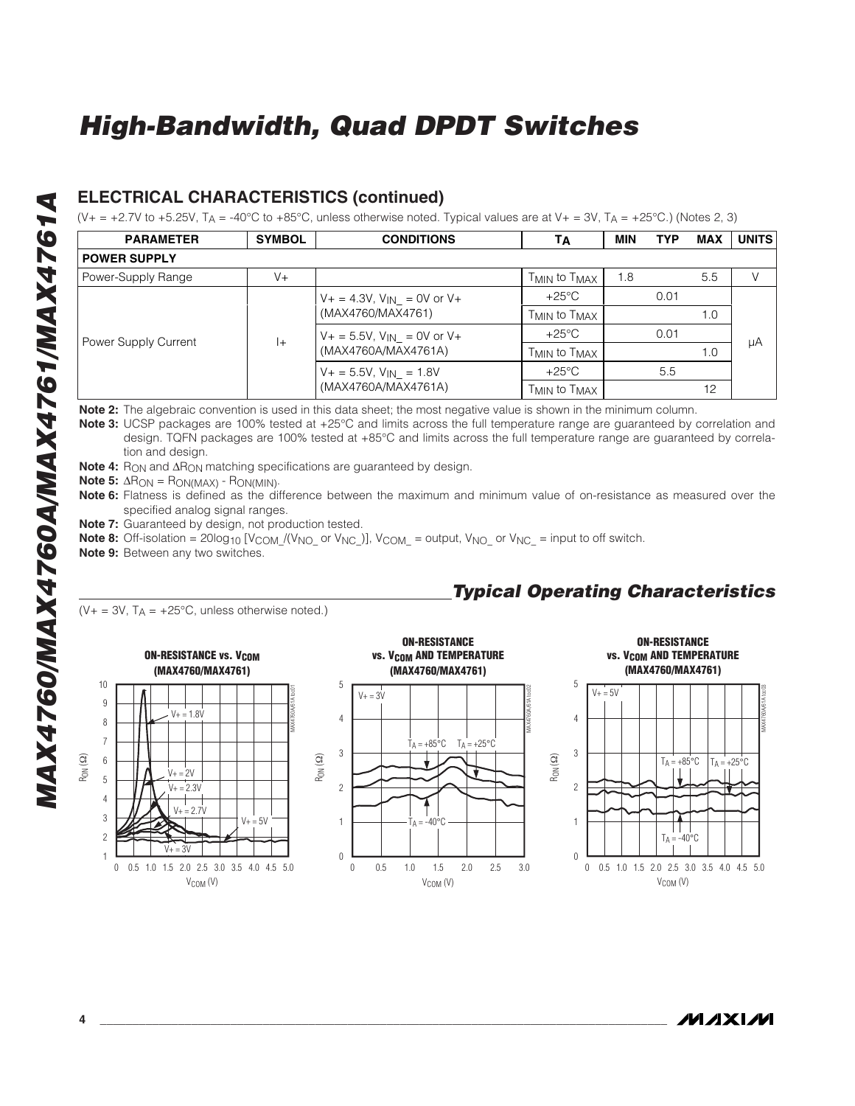### **ELECTRICAL CHARACTERISTICS (continued)**

(V+ = +2.7V to +5.25V, T<sub>A</sub> = -40°C to +85°C, unless otherwise noted. Typical values are at V+ = 3V, T<sub>A</sub> = +25°C.) (Notes 2, 3)

| <b>PARAMETER</b>     | <b>SYMBOL</b>                                                                                                                | <b>CONDITIONS</b>                                                                             | TА                                                                   | <b>MIN</b> | <b>TYP</b>          | <b>MAX</b> | <b>UNITS</b> |
|----------------------|------------------------------------------------------------------------------------------------------------------------------|-----------------------------------------------------------------------------------------------|----------------------------------------------------------------------|------------|---------------------|------------|--------------|
| <b>POWER SUPPLY</b>  |                                                                                                                              |                                                                                               |                                                                      |            |                     |            |              |
| Power-Supply Range   | $V +$                                                                                                                        |                                                                                               | T <sub>MIN</sub> to T <sub>MAX</sub>                                 | 1.8        |                     | 5.5        | V            |
|                      |                                                                                                                              | $V_+ = 4.3V$ , $V_{IN} = 0V$ or $V_+$                                                         | $+25^{\circ}$ C                                                      |            | 0.01<br>0.01<br>5.5 |            |              |
|                      | (MAX4760/MAX4761)<br>T <sub>MIN</sub> to T <sub>MAX</sub><br>$+25^{\circ}$ C<br>$V_+ = 5.5V$ , $V_{IN} = 0V$ or $V_+$<br>$+$ | 1.0                                                                                           |                                                                      |            |                     |            |              |
| Power Supply Current |                                                                                                                              |                                                                                               | μA<br>1.0<br>T <sub>MIN</sub> to T <sub>MAX</sub><br>$+25^{\circ}$ C |            |                     |            |              |
|                      |                                                                                                                              | (MAX4760A/MAX4761A)                                                                           |                                                                      |            |                     |            |              |
|                      |                                                                                                                              | $V_+ = 5.5V$ , $V_{IN} = 1.8V$<br>(MAX4760A/MAX4761A)<br>T <sub>MIN</sub> to T <sub>MAX</sub> |                                                                      |            |                     |            |              |
|                      |                                                                                                                              |                                                                                               |                                                                      |            |                     | 12         |              |

**Note 2:** The algebraic convention is used in this data sheet; the most negative value is shown in the minimum column.

**Note 3:** UCSP packages are 100% tested at +25°C and limits across the full temperature range are guaranteed by correlation and design. TQFN packages are 100% tested at +85°C and limits across the full temperature range are guaranteed by correlation and design.

**Note 4:** R<sub>ON</sub> and ΔR<sub>ON</sub> matching specifications are guaranteed by design.

**Note 5:** ΔR<sub>ON</sub> = R<sub>ON(MAX)</sub> - R<sub>ON(MIN)</sub>.

**Note 6:** Flatness is defined as the difference between the maximum and minimum value of on-resistance as measured over the specified analog signal ranges.

**Note 7:** Guaranteed by design, not production tested.

**Note 8:** Off-isolation = 20log<sub>10</sub> [V<sub>COM</sub> /(V<sub>NO</sub> or V<sub>NC</sub>)], V<sub>COM</sub> = output, V<sub>NO</sub> or V<sub>NC</sub> = input to off switch.

**Note 9:** Between any two switches.

 $(V_{+} = 3V, T_{A} = +25^{\circ}C,$  unless otherwise noted.)



## **Typical Operating Characteristics**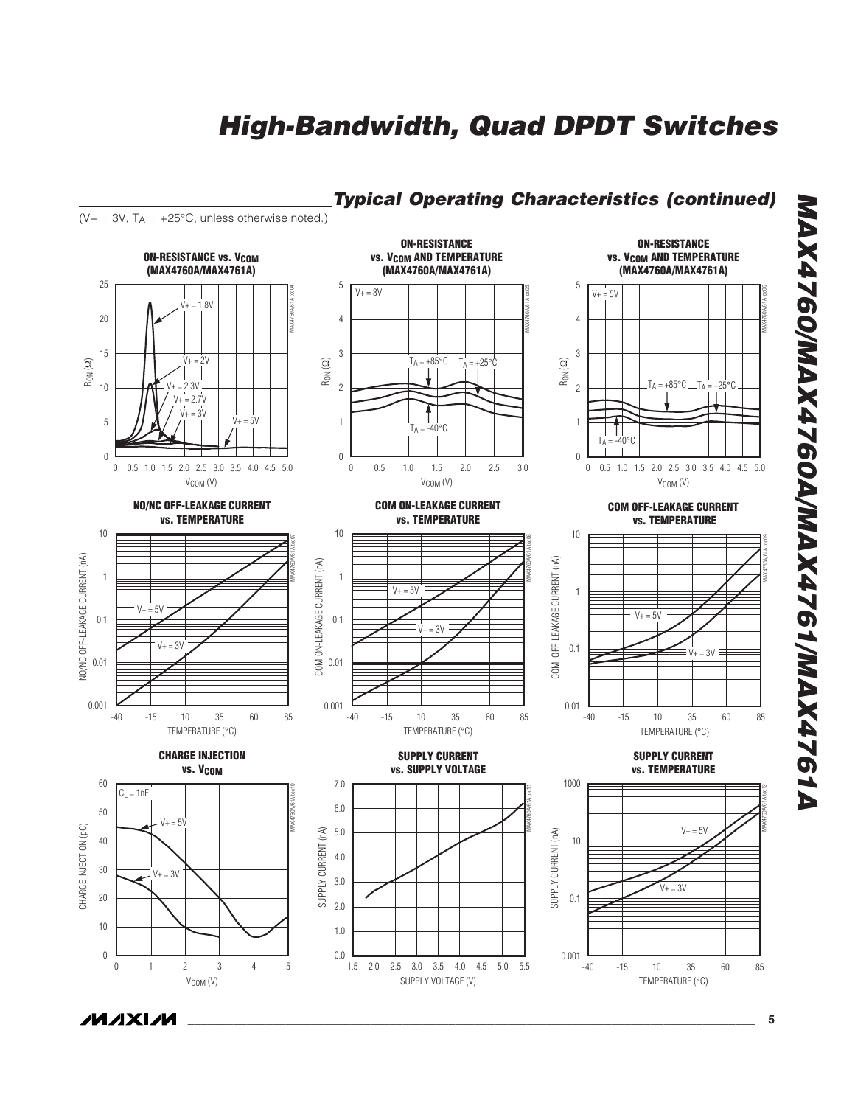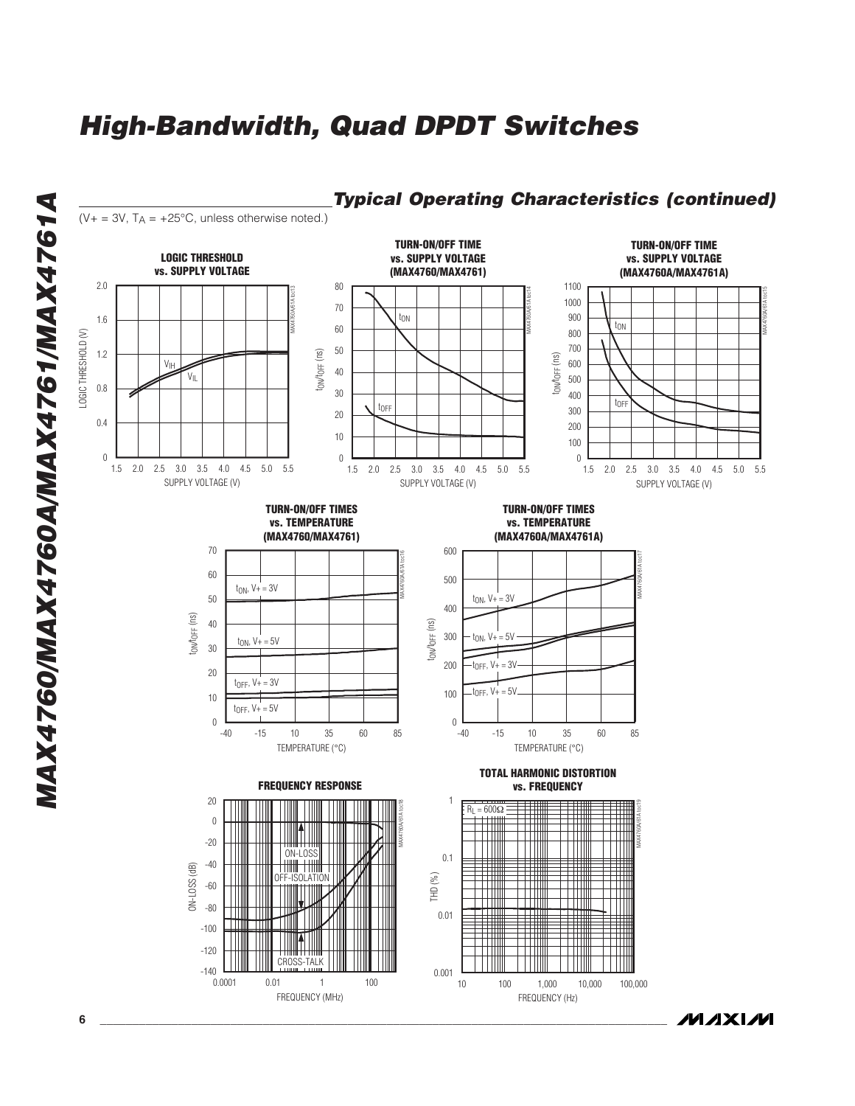

**MAX4760/MAX4760A/MAX4761/MAX4761A** MAX4760/MAX4760A/MAX4761/MAX4761A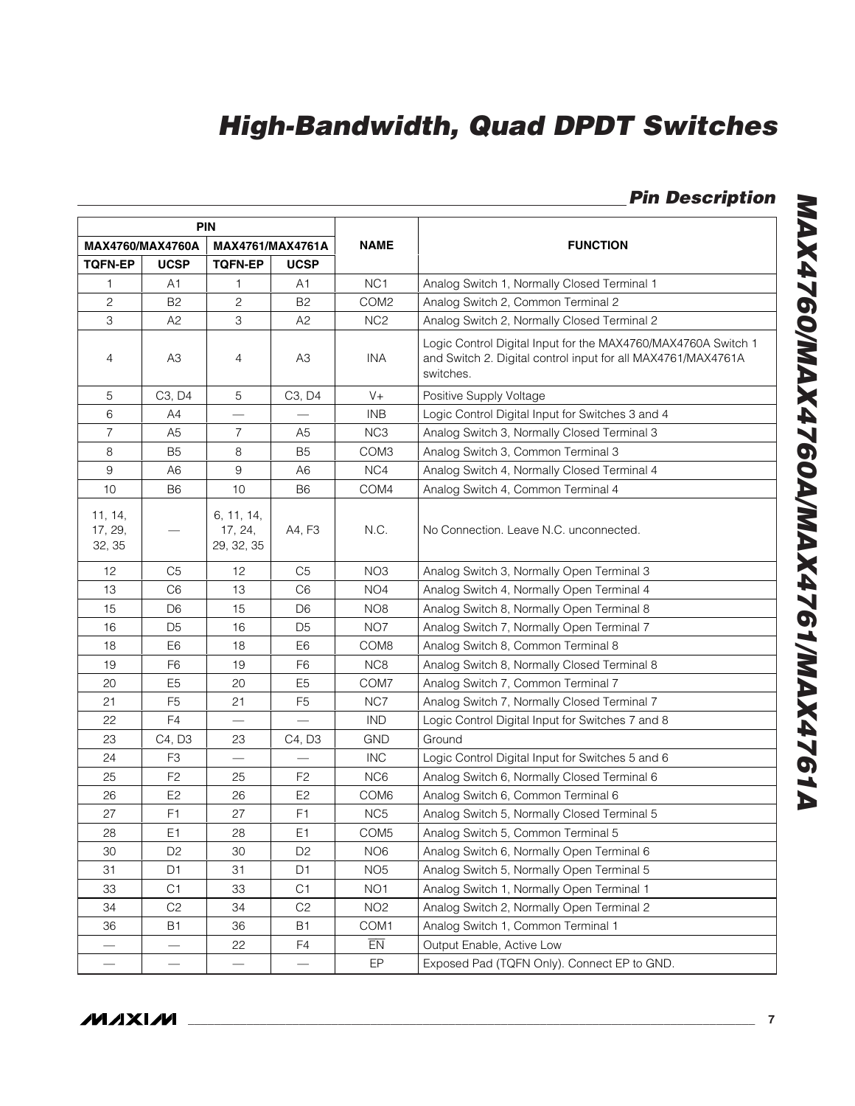**Pin Description**

| <b>PIN</b>                   |                                 |                                     |                                 |                  |                                                                                                                                            |
|------------------------------|---------------------------------|-------------------------------------|---------------------------------|------------------|--------------------------------------------------------------------------------------------------------------------------------------------|
| MAX4760/MAX4760A             |                                 |                                     | MAX4761/MAX4761A                | <b>NAME</b>      | <b>FUNCTION</b>                                                                                                                            |
| <b>TOFN-EP</b>               | <b>UCSP</b>                     | <b>TQFN-EP</b>                      | <b>UCSP</b>                     |                  |                                                                                                                                            |
| 1                            | A1                              | 1                                   | A1                              | NC <sub>1</sub>  | Analog Switch 1, Normally Closed Terminal 1                                                                                                |
| $\mathbf{2}$                 | B <sub>2</sub>                  | 2                                   | B2                              | COM <sub>2</sub> | Analog Switch 2, Common Terminal 2                                                                                                         |
| 3                            | A <sub>2</sub>                  | 3                                   | A <sub>2</sub>                  | NC <sub>2</sub>  | Analog Switch 2, Normally Closed Terminal 2                                                                                                |
| 4                            | A3                              | 4                                   | A3                              | INA              | Logic Control Digital Input for the MAX4760/MAX4760A Switch 1<br>and Switch 2. Digital control input for all MAX4761/MAX4761A<br>switches. |
| 5                            | C <sub>3</sub> , D <sub>4</sub> | 5                                   | C <sub>3</sub> , D <sub>4</sub> | $V +$            | Positive Supply Voltage                                                                                                                    |
| 6                            | A4                              |                                     |                                 | <b>INB</b>       | Logic Control Digital Input for Switches 3 and 4                                                                                           |
| 7                            | A5                              | 7                                   | A5                              | NC <sub>3</sub>  | Analog Switch 3, Normally Closed Terminal 3                                                                                                |
| $\,8\,$                      | B <sub>5</sub>                  | 8                                   | B <sub>5</sub>                  | COM <sub>3</sub> | Analog Switch 3, Common Terminal 3                                                                                                         |
| 9                            | A6                              | 9                                   | A <sub>6</sub>                  | NC4              | Analog Switch 4, Normally Closed Terminal 4                                                                                                |
| 10                           | B6                              | 10                                  | B6                              | COM4             | Analog Switch 4, Common Terminal 4                                                                                                         |
| 11, 14,<br>17, 29,<br>32, 35 | -                               | 6, 11, 14,<br>17, 24,<br>29, 32, 35 | A4, F3                          | N.C.             | No Connection. Leave N.C. unconnected.                                                                                                     |
| 12                           | C5                              | 12                                  | C <sub>5</sub>                  | NO <sub>3</sub>  | Analog Switch 3, Normally Open Terminal 3                                                                                                  |
| 13                           | C <sub>6</sub>                  | 13                                  | C <sub>6</sub>                  | NO <sub>4</sub>  | Analog Switch 4, Normally Open Terminal 4                                                                                                  |
| 15                           | D6                              | 15                                  | D <sub>6</sub>                  | NO <sub>8</sub>  | Analog Switch 8, Normally Open Terminal 8                                                                                                  |
| 16                           | D <sub>5</sub>                  | 16                                  | D <sub>5</sub>                  | NO <sub>7</sub>  | Analog Switch 7, Normally Open Terminal 7                                                                                                  |
| 18                           | E6                              | 18                                  | E <sub>6</sub>                  | COM <sub>8</sub> | Analog Switch 8, Common Terminal 8                                                                                                         |
| 19                           | F <sub>6</sub>                  | 19                                  | F <sub>6</sub>                  | NC <sub>8</sub>  | Analog Switch 8, Normally Closed Terminal 8                                                                                                |
| 20                           | E <sub>5</sub>                  | 20                                  | E <sub>5</sub>                  | COM7             | Analog Switch 7, Common Terminal 7                                                                                                         |
| 21                           | F <sub>5</sub>                  | 21                                  | F <sub>5</sub>                  | NC7              | Analog Switch 7, Normally Closed Terminal 7                                                                                                |
| 22                           | F <sub>4</sub>                  |                                     | $\overline{\phantom{0}}$        | <b>IND</b>       | Logic Control Digital Input for Switches 7 and 8                                                                                           |
| 23                           | C4, D3                          | 23                                  | C4, D3                          | <b>GND</b>       | Ground                                                                                                                                     |
| 24                           | F <sub>3</sub>                  |                                     |                                 | <b>INC</b>       | Logic Control Digital Input for Switches 5 and 6                                                                                           |
| 25                           | F <sub>2</sub>                  | 25                                  | F <sub>2</sub>                  | NC <sub>6</sub>  | Analog Switch 6, Normally Closed Terminal 6                                                                                                |
| 26                           | E <sub>2</sub>                  | 26                                  | E <sub>2</sub>                  | COM <sub>6</sub> | Analog Switch 6, Common Terminal 6                                                                                                         |
| 27                           | F <sub>1</sub>                  | 27                                  | F <sub>1</sub>                  | NC <sub>5</sub>  | Analog Switch 5, Normally Closed Terminal 5                                                                                                |
| 28                           | E1                              | 28                                  | E1                              | COM <sub>5</sub> | Analog Switch 5, Common Terminal 5                                                                                                         |
| 30                           | D <sub>2</sub>                  | 30                                  | D <sub>2</sub>                  | NO <sub>6</sub>  | Analog Switch 6, Normally Open Terminal 6                                                                                                  |
| 31                           | D <sub>1</sub>                  | 31                                  | D <sub>1</sub>                  | NO <sub>5</sub>  | Analog Switch 5, Normally Open Terminal 5                                                                                                  |
| 33                           | C <sub>1</sub>                  | 33                                  | C1                              | NO <sub>1</sub>  | Analog Switch 1, Normally Open Terminal 1                                                                                                  |
| 34                           | C <sub>2</sub>                  | 34                                  | C <sub>2</sub>                  | NO <sub>2</sub>  | Analog Switch 2, Normally Open Terminal 2                                                                                                  |
| 36                           | B1                              | 36                                  | <b>B1</b>                       | COM1             | Analog Switch 1, Common Terminal 1                                                                                                         |
|                              | —                               | 22                                  | F4                              | EN               | Output Enable, Active Low                                                                                                                  |
| $\overline{\phantom{0}}$     | $\overline{\phantom{0}}$        | $\overline{\phantom{0}}$            |                                 | EP               | Exposed Pad (TQFN Only). Connect EP to GND.                                                                                                |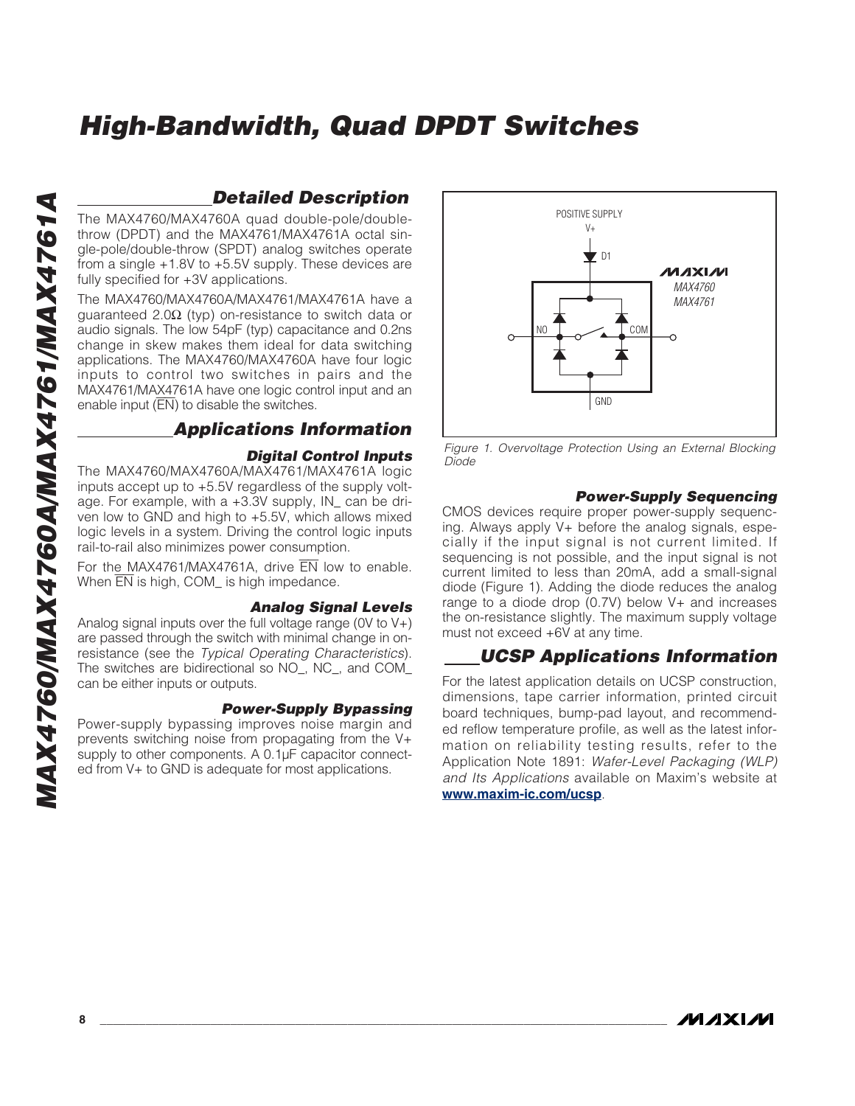### **Detailed Description**

The MAX4760/MAX4760A quad double-pole/doublethrow (DPDT) and the MAX4761/MAX4761A octal single-pole/double-throw (SPDT) analog switches operate from a single +1.8V to +5.5V supply. These devices are fully specified for +3V applications.

The MAX4760/MAX4760A/MAX4761/MAX4761A have a guaranteed 2.0Ω (typ) on-resistance to switch data or audio signals. The low 54pF (typ) capacitance and 0.2ns change in skew makes them ideal for data switching applications. The MAX4760/MAX4760A have four logic inputs to control two switches in pairs and the MAX4761/MAX4761A have one logic control input and an enable input  $(\overline{EN})$  to disable the switches.

### **Applications Information**

#### **Digital Control Inputs**

The MAX4760/MAX4760A/MAX4761/MAX4761A logic inputs accept up to +5.5V regardless of the supply voltage. For example, with a +3.3V supply, IN\_ can be driven low to GND and high to +5.5V, which allows mixed logic levels in a system. Driving the control logic inputs rail-to-rail also minimizes power consumption.

For the MAX4761/MAX4761A, drive EN low to enable. When  $\overline{EN}$  is high, COM is high impedance.

#### **Analog Signal Levels**

Analog signal inputs over the full voltage range (0V to V+) are passed through the switch with minimal change in onresistance (see the Typical Operating Characteristics). The switches are bidirectional so NO\_, NC\_, and COM\_ can be either inputs or outputs.

#### **Power-Supply Bypassing**

Power-supply bypassing improves noise margin and prevents switching noise from propagating from the V+ supply to other components. A 0.1µF capacitor connected from V+ to GND is adequate for most applications.



Figure 1. Overvoltage Protection Using an External Blocking Diode

#### **Power-Supply Sequencing**

CMOS devices require proper power-supply sequencing. Always apply V+ before the analog signals, especially if the input signal is not current limited. If sequencing is not possible, and the input signal is not current limited to less than 20mA, add a small-signal diode (Figure 1). Adding the diode reduces the analog range to a diode drop  $(0.7V)$  below  $V<sub>+</sub>$  and increases the on-resistance slightly. The maximum supply voltage must not exceed +6V at any time.

### **UCSP Applications Information**

For the latest application details on UCSP construction, dimensions, tape carrier information, printed circuit board techniques, bump-pad layout, and recommended reflow temperature profile, as well as the latest information on reliability testing results, refer to the Application Note 1891: Wafer-Level Packaging (WLP) and Its Applications available on Maxim's website at **www.maxim-ic.com/ucsp**.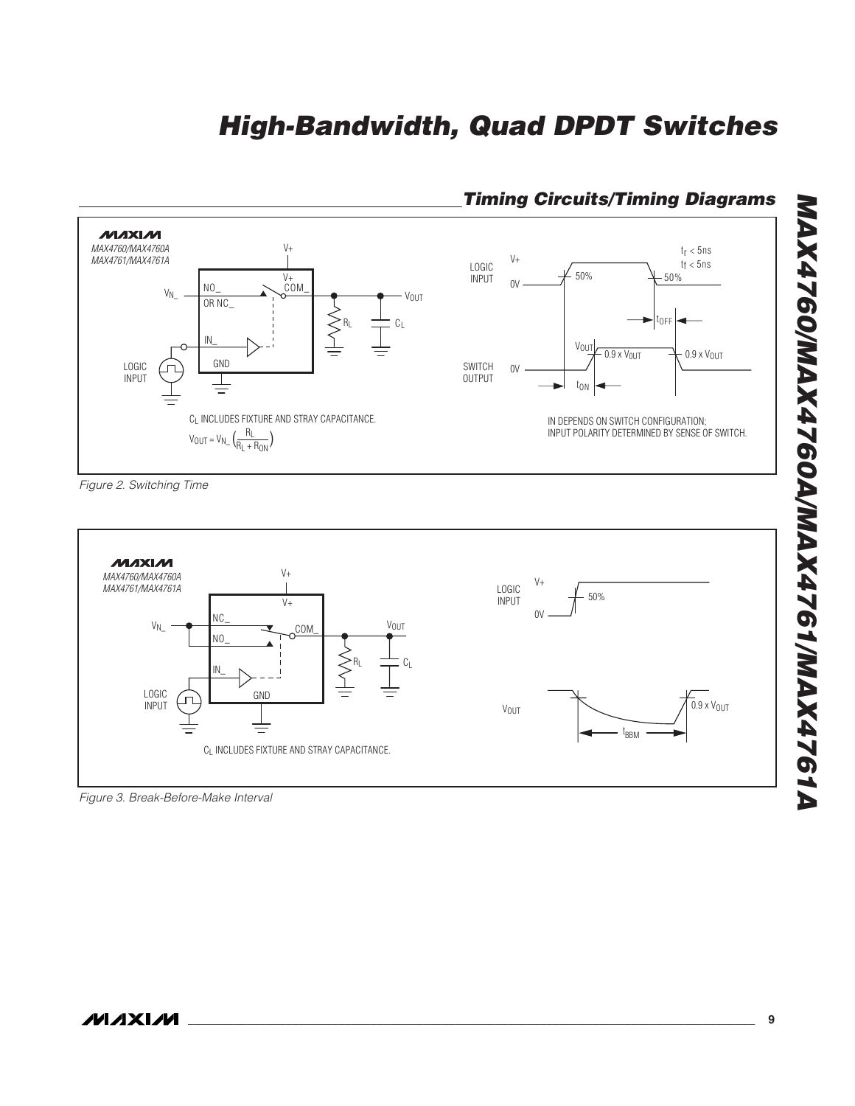

### **Timing Circuits/Timing Diagrams**

Figure 2. Switching Time



Figure 3. Break-Before-Make Interval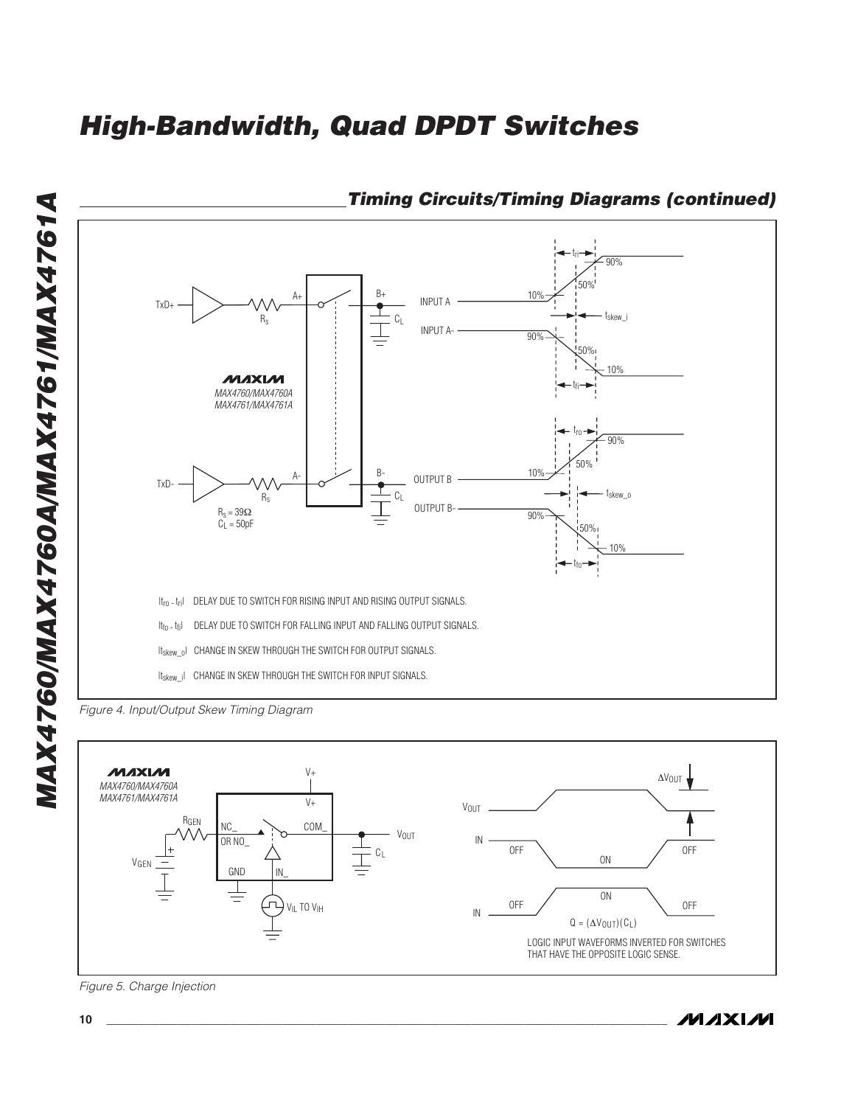

## **Timing Circuits/Timing Diagrams (continued)**





**10 \_\_\_\_\_\_\_\_\_\_\_\_\_\_\_\_\_\_\_\_\_\_\_\_\_\_\_\_\_\_\_\_\_\_\_\_\_\_\_\_\_\_\_\_\_\_\_\_\_\_\_\_\_\_\_\_\_\_\_\_\_\_\_\_\_\_\_\_\_\_\_\_\_\_\_\_\_\_\_\_\_\_\_\_\_\_**

Figure 5. Charge Injection

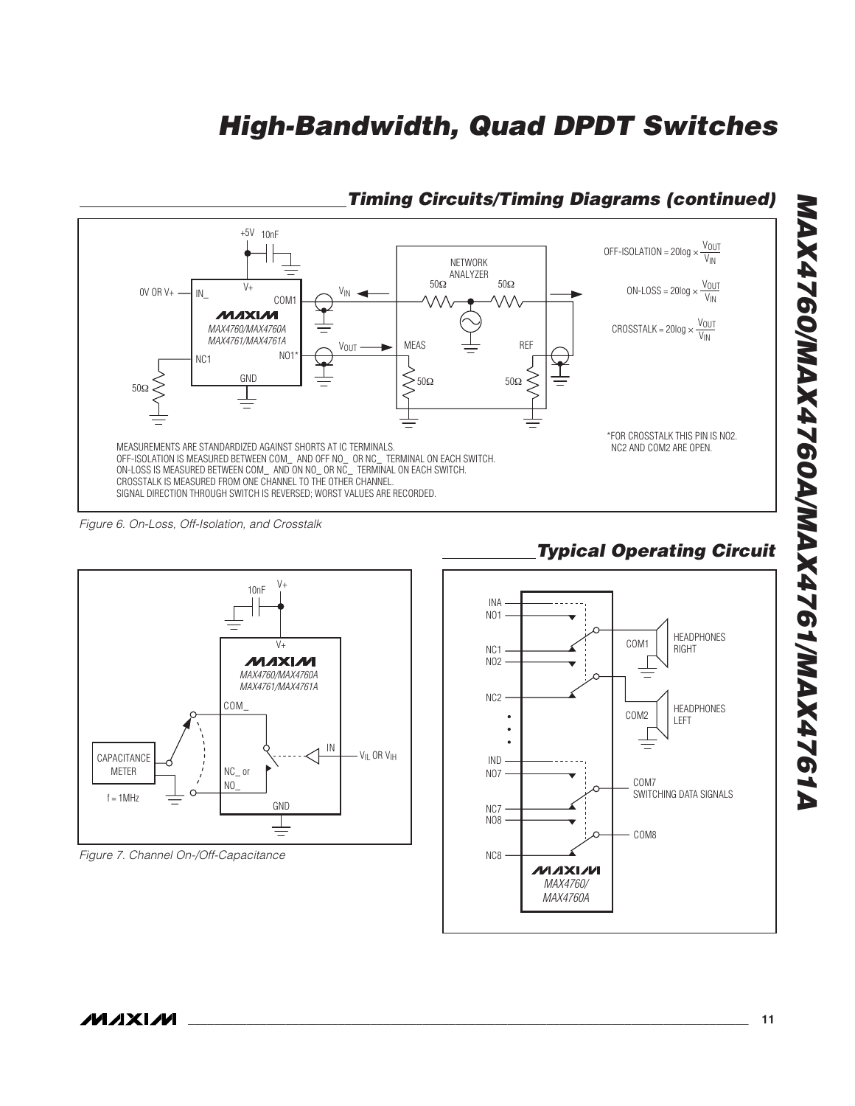

## **Timing Circuits/Timing Diagrams (continued)**

Figure 6. On-Loss, Off-Isolation, and Crosstalk



## **Typical Operating Circuit**

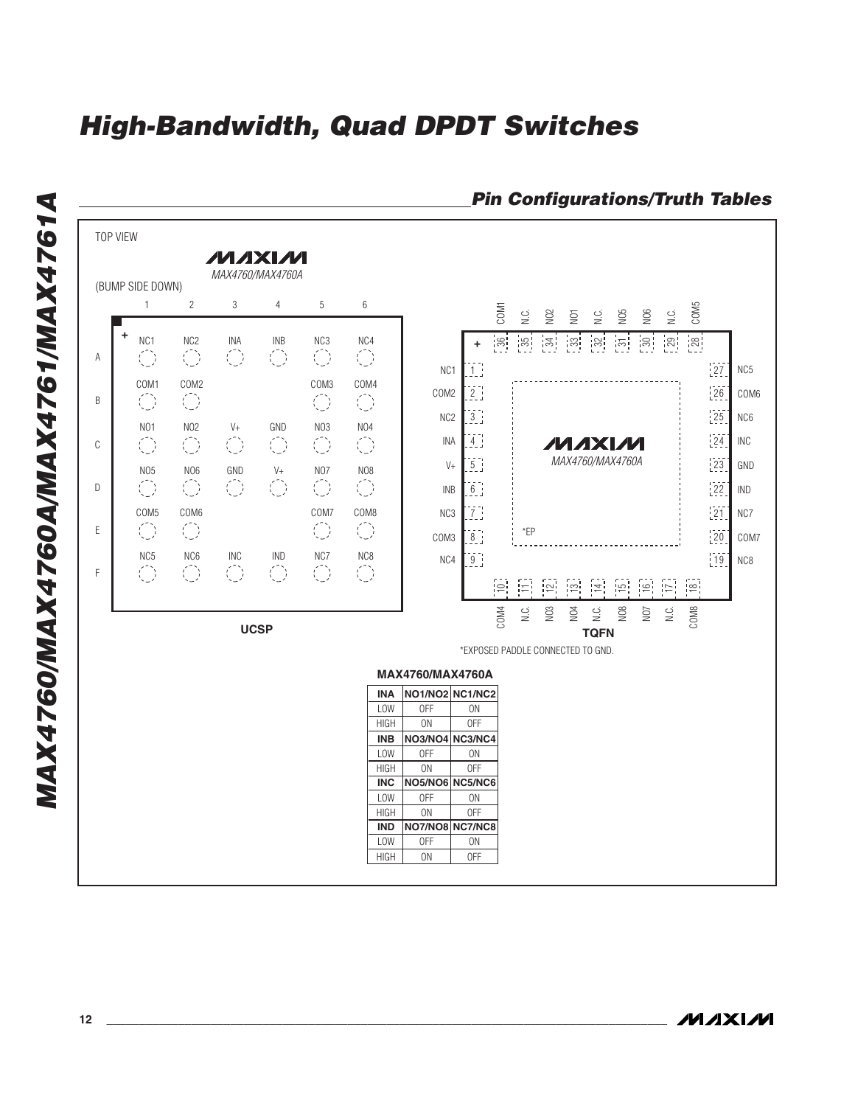

### **Pin Configurations/Truth Tables**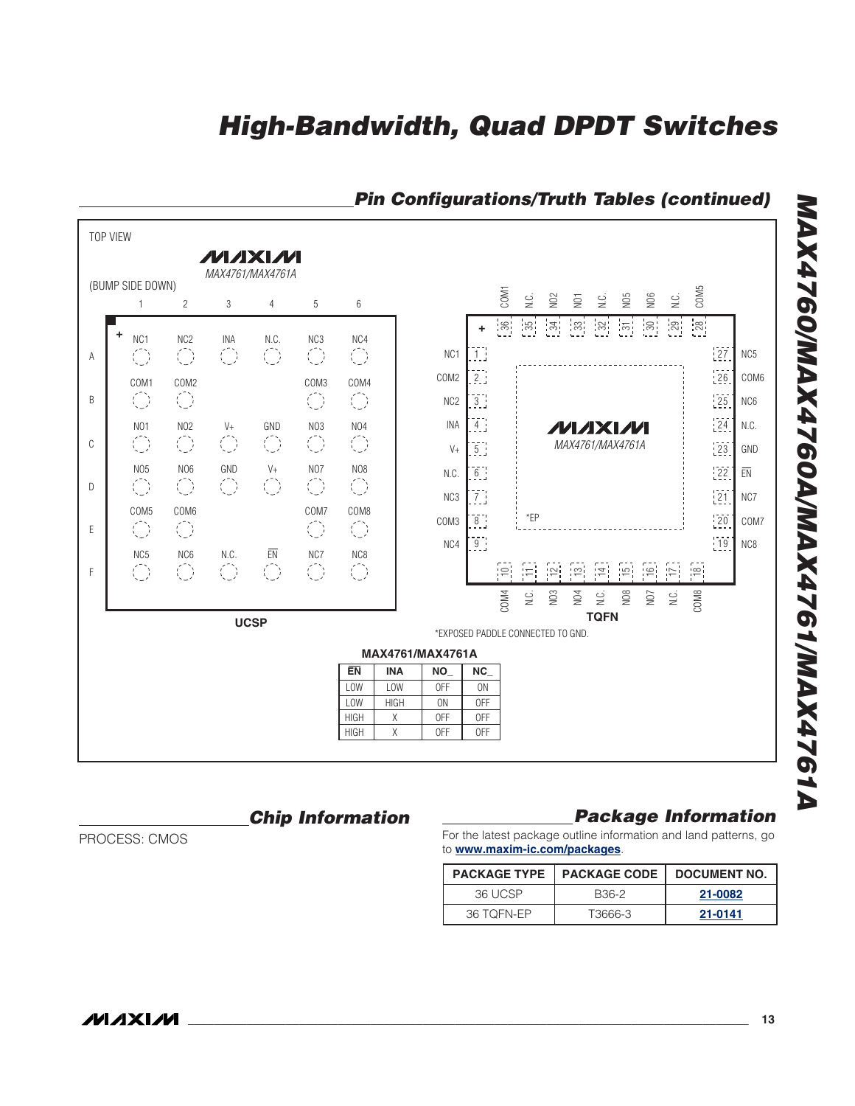

## **Pin Configurations/Truth Tables (continued)**

**Chip Information**

PROCESS: CMOS

### **Package Information**

For the latest package outline information and land patterns, go to **www.maxim-ic.com/packages**.

| <b>PACKAGE TYPE</b> | <b>PACKAGE CODE</b> | DOCUMENT NO. |
|---------------------|---------------------|--------------|
| 36 UCSP             | B <sub>36-2</sub>   | 21-0082      |
| 36 TOFN-EP          | T3666-3             | 21-0141      |